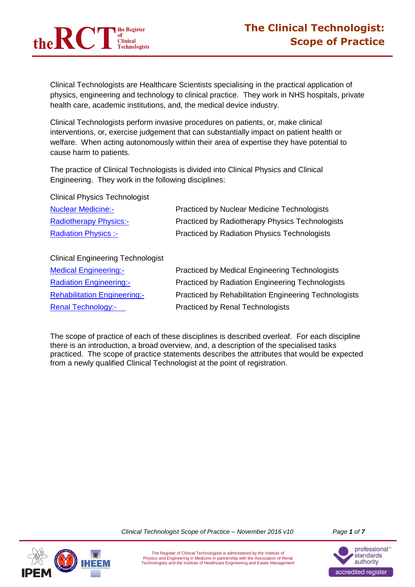

Clinical Technologists are Healthcare Scientists specialising in the practical application of physics, engineering and technology to clinical practice. They work in NHS hospitals, private health care, academic institutions, and, the medical device industry.

Clinical Technologists perform invasive procedures on patients, or, make clinical interventions, or, exercise judgement that can substantially impact on patient health or welfare. When acting autonomously within their area of expertise they have potential to cause harm to patients.

The practice of Clinical Technologists is divided into Clinical Physics and Clinical Engineering. They work in the following disciplines:

Clinical Physics Technologist

| <b>Nuclear Medicine:-</b>                | <b>Practiced by Nuclear Medicine Technologists</b>     |
|------------------------------------------|--------------------------------------------------------|
| <b>Radiotherapy Physics:-</b>            | <b>Practiced by Radiotherapy Physics Technologists</b> |
| <b>Radiation Physics :-</b>              | <b>Practiced by Radiation Physics Technologists</b>    |
| <b>Clinical Engineering Technologist</b> |                                                        |

| <b>Medical Engineering:-</b>        | <b>Practiced by Medical Engineering Technologists</b> |
|-------------------------------------|-------------------------------------------------------|
| <b>Radiation Engineering:-</b>      | Practiced by Radiation Engineering Technologists      |
| <b>Rehabilitation Engineering:-</b> | Practiced by Rehabilitation Engineering Technologists |
| <b>Renal Technology:-</b>           | <b>Practiced by Renal Technologists</b>               |

The scope of practice of each of these disciplines is described overleaf. For each discipline there is an introduction, a broad overview, and, a description of the specialised tasks practiced. The scope of practice statements describes the attributes that would be expected from a newly qualified Clinical Technologist at the point of registration.



*Clinical Technologist Scope of Practice – November 2016 v10 Page 1 of 7*

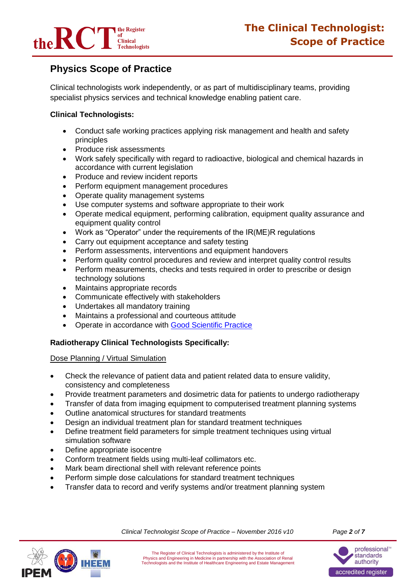

# **Physics Scope of Practice**

Clinical technologists work independently, or as part of multidisciplinary teams, providing specialist physics services and technical knowledge enabling patient care.

# **Clinical Technologists:**

- Conduct safe working practices applying risk management and health and safety principles
- Produce risk assessments
- Work safely specifically with regard to radioactive, biological and chemical hazards in accordance with current legislation
- Produce and review incident reports
- Perform equipment management procedures
- Operate quality management systems
- Use computer systems and software appropriate to their work
- Operate medical equipment, performing calibration, equipment quality assurance and equipment quality control
- Work as "Operator" under the requirements of the IR(ME)R regulations
- Carry out equipment acceptance and safety testing
- Perform assessments, interventions and equipment handovers
- Perform quality control procedures and review and interpret quality control results
- Perform measurements, checks and tests required in order to prescribe or design technology solutions
- Maintains appropriate records
- Communicate effectively with stakeholders
- Undertakes all mandatory training
- Maintains a professional and courteous attitude
- Operate in accordance with [Good Scientific Practice](http://www.ipem.ac.uk/Portals/0/Documents/News/AHCS_Good_Scientific_Practice.pdf)

## **Radiotherapy Clinical Technologists Specifically:**

## Dose Planning / Virtual Simulation

- Check the relevance of patient data and patient related data to ensure validity, consistency and completeness
- Provide treatment parameters and dosimetric data for patients to undergo radiotherapy
- Transfer of data from imaging equipment to computerised treatment planning systems
- Outline anatomical structures for standard treatments
- Design an individual treatment plan for standard treatment techniques
- Define treatment field parameters for simple treatment techniques using virtual simulation software
- Define appropriate isocentre
- Conform treatment fields using multi-leaf collimators etc.
- Mark beam directional shell with relevant reference points
- Perform simple dose calculations for standard treatment techniques
- Transfer data to record and verify systems and/or treatment planning system



*Clinical Technologist Scope of Practice – November 2016 v10 Page 2 of 7*

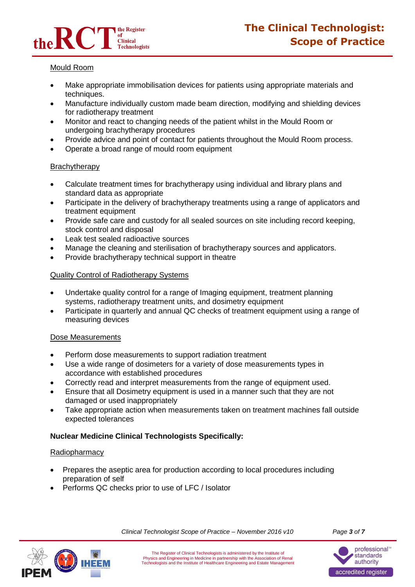

## Mould Room

- Make appropriate immobilisation devices for patients using appropriate materials and techniques.
- Manufacture individually custom made beam direction, modifying and shielding devices for radiotherapy treatment
- Monitor and react to changing needs of the patient whilst in the Mould Room or undergoing brachytherapy procedures
- Provide advice and point of contact for patients throughout the Mould Room process.
- Operate a broad range of mould room equipment

## **Brachytherapy**

- Calculate treatment times for brachytherapy using individual and library plans and standard data as appropriate
- Participate in the delivery of brachytherapy treatments using a range of applicators and treatment equipment
- Provide safe care and custody for all sealed sources on site including record keeping, stock control and disposal
- Leak test sealed radioactive sources
- Manage the cleaning and sterilisation of brachytherapy sources and applicators.
- Provide brachytherapy technical support in theatre

## Quality Control of Radiotherapy Systems

- Undertake quality control for a range of Imaging equipment, treatment planning systems, radiotherapy treatment units, and dosimetry equipment
- Participate in quarterly and annual QC checks of treatment equipment using a range of measuring devices

## Dose Measurements

- Perform dose measurements to support radiation treatment
- Use a wide range of dosimeters for a variety of dose measurements types in accordance with established procedures
- Correctly read and interpret measurements from the range of equipment used.
- Ensure that all Dosimetry equipment is used in a manner such that they are not damaged or used inappropriately
- Take appropriate action when measurements taken on treatment machines fall outside expected tolerances

# **Nuclear Medicine Clinical Technologists Specifically:**

## Radiopharmacy

- Prepares the aseptic area for production according to local procedures including preparation of self
- Performs QC checks prior to use of LFC / Isolator



*Clinical Technologist Scope of Practice – November 2016 v10 Page 3 of 7*

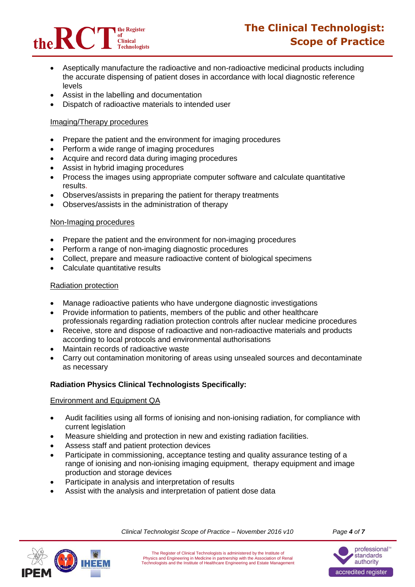

- Aseptically manufacture the radioactive and non-radioactive medicinal products including the accurate dispensing of patient doses in accordance with local diagnostic reference levels
- Assist in the labelling and documentation
- Dispatch of radioactive materials to intended user

## Imaging/Therapy procedures

- Prepare the patient and the environment for imaging procedures
- Perform a wide range of imaging procedures
- Acquire and record data during imaging procedures
- Assist in hybrid imaging procedures
- Process the images using appropriate computer software and calculate quantitative results.
- Observes/assists in preparing the patient for therapy treatments
- Observes/assists in the administration of therapy

## Non-Imaging procedures

- Prepare the patient and the environment for non-imaging procedures
- Perform a range of non-imaging diagnostic procedures
- Collect, prepare and measure radioactive content of biological specimens
- Calculate quantitative results

## Radiation protection

- Manage radioactive patients who have undergone diagnostic investigations
- Provide information to patients, members of the public and other healthcare professionals regarding radiation protection controls after nuclear medicine procedures
- Receive, store and dispose of radioactive and non-radioactive materials and products according to local protocols and environmental authorisations
- Maintain records of radioactive waste
- Carry out contamination monitoring of areas using unsealed sources and decontaminate as necessary

# **Radiation Physics Clinical Technologists Specifically:**

## Environment and Equipment QA

- Audit facilities using all forms of ionising and non-ionising radiation, for compliance with current legislation
- Measure shielding and protection in new and existing radiation facilities.
- Assess staff and patient protection devices
- Participate in commissioning, acceptance testing and quality assurance testing of a range of ionising and non-ionising imaging equipment, therapy equipment and image production and storage devices
- Participate in analysis and interpretation of results
- Assist with the analysis and interpretation of patient dose data



*Clinical Technologist Scope of Practice – November 2016 v10 Page 4 of 7*

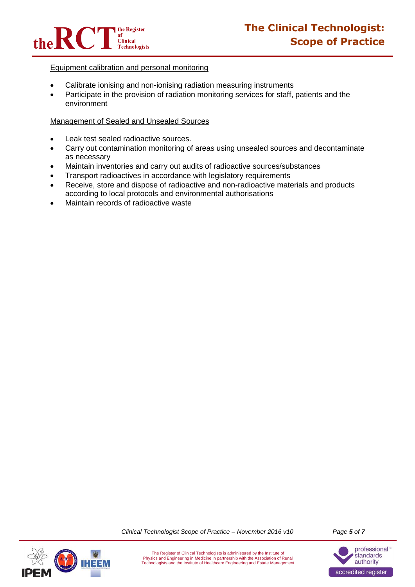

## Equipment calibration and personal monitoring

- Calibrate ionising and non-ionising radiation measuring instruments
- Participate in the provision of radiation monitoring services for staff, patients and the environment

## Management of Sealed and Unsealed Sources

- Leak test sealed radioactive sources.
- Carry out contamination monitoring of areas using unsealed sources and decontaminate as necessary
- Maintain inventories and carry out audits of radioactive sources/substances
- Transport radioactives in accordance with legislatory requirements
- Receive, store and dispose of radioactive and non-radioactive materials and products according to local protocols and environmental authorisations
- Maintain records of radioactive waste

*Clinical Technologist Scope of Practice – November 2016 v10 Page 5 of 7*



The Register of Clinical Technologists is administered by the Institute of Physics and Engineering in Medicine in partnership with the Association of Renal Technologists and the Institute of Healthcare Engineering and Estate Management

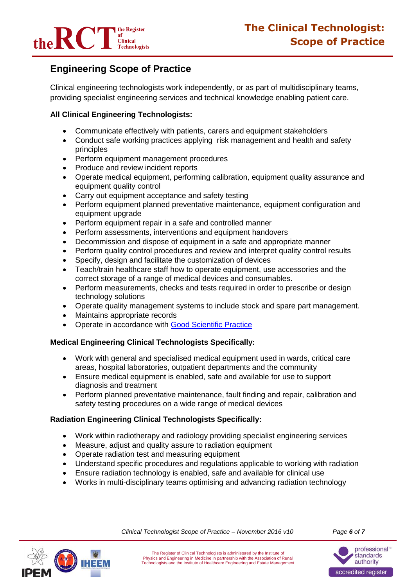

# **Engineering Scope of Practice**

Clinical engineering technologists work independently, or as part of multidisciplinary teams, providing specialist engineering services and technical knowledge enabling patient care.

# **All Clinical Engineering Technologists:**

- Communicate effectively with patients, carers and equipment stakeholders
- Conduct safe working practices applying risk management and health and safety principles
- Perform equipment management procedures
- Produce and review incident reports
- Operate medical equipment, performing calibration, equipment quality assurance and equipment quality control
- Carry out equipment acceptance and safety testing
- Perform equipment planned preventative maintenance, equipment configuration and equipment upgrade
- Perform equipment repair in a safe and controlled manner
- Perform assessments, interventions and equipment handovers
- Decommission and dispose of equipment in a safe and appropriate manner
- Perform quality control procedures and review and interpret quality control results
- Specify, design and facilitate the customization of devices
- Teach/train healthcare staff how to operate equipment, use accessories and the correct storage of a range of medical devices and consumables.
- Perform measurements, checks and tests required in order to prescribe or design technology solutions
- Operate quality management systems to include stock and spare part management.
- Maintains appropriate records
- Operate in accordance with [Good Scientific Practice](http://www.ipem.ac.uk/Portals/0/Documents/News/AHCS_Good_Scientific_Practice.pdf)

## **Medical Engineering Clinical Technologists Specifically:**

- Work with general and specialised medical equipment used in wards, critical care areas, hospital laboratories, outpatient departments and the community
- Ensure medical equipment is enabled, safe and available for use to support diagnosis and treatment
- Perform planned preventative maintenance, fault finding and repair, calibration and safety testing procedures on a wide range of medical devices

# **Radiation Engineering Clinical Technologists Specifically:**

- Work within radiotherapy and radiology providing specialist engineering services
- Measure, adjust and quality assure to radiation equipment
- Operate radiation test and measuring equipment
- Understand specific procedures and regulations applicable to working with radiation
- Ensure radiation technology is enabled, safe and available for clinical use
- Works in multi-disciplinary teams optimising and advancing radiation technology



*Clinical Technologist Scope of Practice – November 2016 v10 Page 6 of 7*